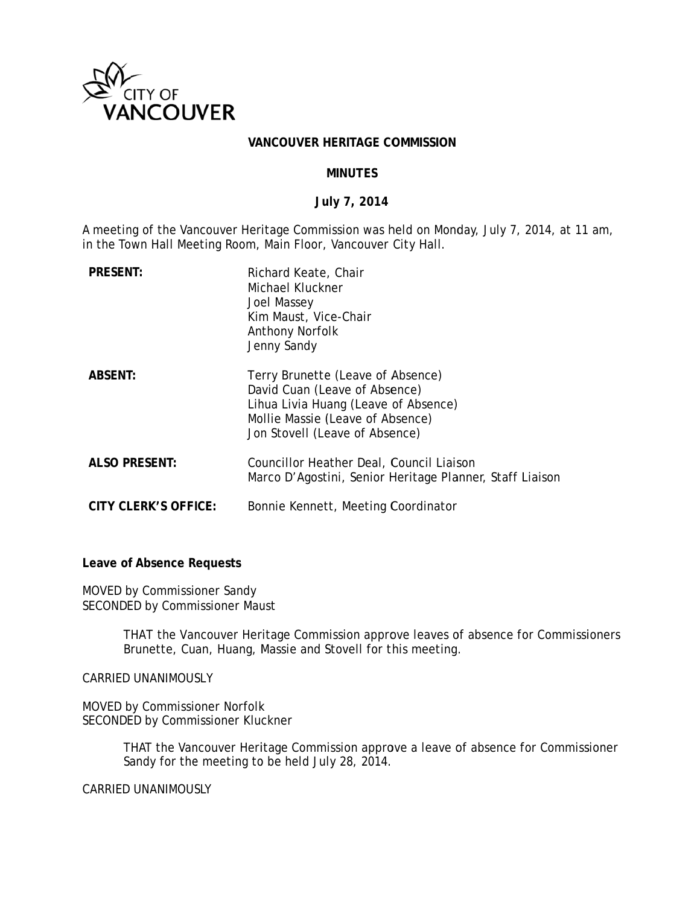

#### VANCOUVER HERITAGE COMMISSION

#### **MINUTFS**

#### July 7, 2014

A meeting of the Vancouver Heritage Commission was held on Monday, July 7, 2014, at 11 am, in the Town Hall Meeting Room, Main Floor, Vancouver City Hall.

| <b>PRESENT:</b>             | Richard Keate, Chair<br>Michael Kluckner<br>Joel Massey<br>Kim Maust, Vice-Chair<br><b>Anthony Norfolk</b><br>Jenny Sandy                                                        |
|-----------------------------|----------------------------------------------------------------------------------------------------------------------------------------------------------------------------------|
| <b>ABSENT:</b>              | Terry Brunette (Leave of Absence)<br>David Cuan (Leave of Absence)<br>Lihua Livia Huang (Leave of Absence)<br>Mollie Massie (Leave of Absence)<br>Jon Stovell (Leave of Absence) |
| <b>ALSO PRESENT:</b>        | Councillor Heather Deal, Council Liaison<br>Marco D'Agostini, Senior Heritage Planner, Staff Liaison                                                                             |
| <b>CITY CLERK'S OFFICE:</b> | Bonnie Kennett, Meeting Coordinator                                                                                                                                              |

Leave of Absence Requests

MOVED by Commissioner Sandy SECONDED by Commissioner Maust

> THAT the Vancouver Heritage Commission approve leaves of absence for Commissioners Brunette, Cuan, Huang, Massie and Stovell for this meeting.

CARRIED UNANIMOUSLY

MOVED by Commissioner Norfolk SECONDED by Commissioner Kluckner

> THAT the Vancouver Heritage Commission approve a leave of absence for Commissioner Sandy for the meeting to be held July 28, 2014.

**CARRIED UNANIMOUSLY**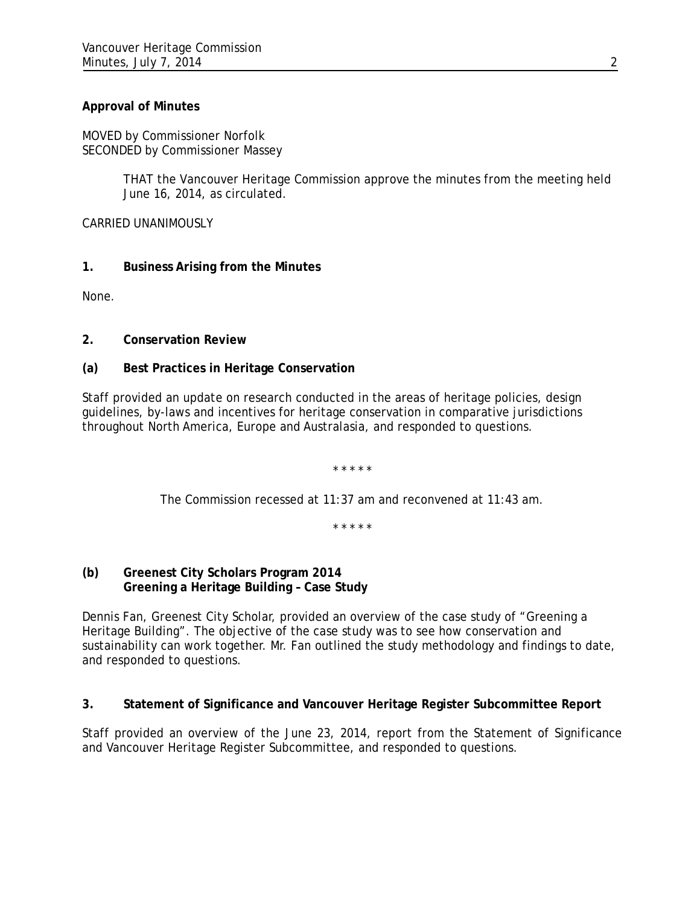# **Approval of Minutes**

MOVED by Commissioner Norfolk SECONDED by Commissioner Massey

> THAT the Vancouver Heritage Commission approve the minutes from the meeting held June 16, 2014, as circulated.

CARRIED UNANIMOUSLY

# **1. Business Arising from the Minutes**

None.

**2. Conservation Review** 

# **(a) Best Practices in Heritage Conservation**

Staff provided an update on research conducted in the areas of heritage policies, design guidelines, by-laws and incentives for heritage conservation in comparative jurisdictions throughout North America, Europe and Australasia, and responded to questions.

\* \* \* \* \*

The Commission recessed at 11:37 am and reconvened at 11:43 am.

\* \* \* \* \*

## **(b) Greenest City Scholars Program 2014 Greening a Heritage Building – Case Study**

Dennis Fan, Greenest City Scholar, provided an overview of the case study of "Greening a Heritage Building". The objective of the case study was to see how conservation and sustainability can work together. Mr. Fan outlined the study methodology and findings to date, and responded to questions.

## **3. Statement of Significance and Vancouver Heritage Register Subcommittee Report**

Staff provided an overview of the June 23, 2014, report from the Statement of Significance and Vancouver Heritage Register Subcommittee, and responded to questions.